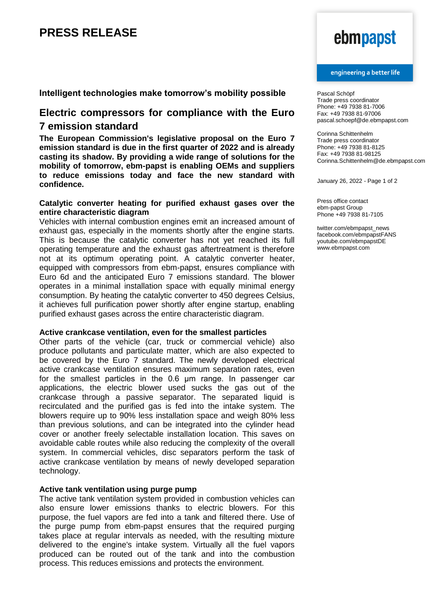## **Intelligent technologies make tomorrow's mobility possible**

## **Electric compressors for compliance with the Euro 7 emission standard**

**The European Commission's legislative proposal on the Euro 7 emission standard is due in the first quarter of 2022 and is already casting its shadow. By providing a wide range of solutions for the mobility of tomorrow, ebm-papst is enabling OEMs and suppliers to reduce emissions today and face the new standard with confidence.** 

### **Catalytic converter heating for purified exhaust gases over the entire characteristic diagram**

Vehicles with internal combustion engines emit an increased amount of exhaust gas, especially in the moments shortly after the engine starts. This is because the catalytic converter has not yet reached its full operating temperature and the exhaust gas aftertreatment is therefore not at its optimum operating point. A catalytic converter heater, equipped with compressors from ebm-papst, ensures compliance with Euro 6d and the anticipated Euro 7 emissions standard. The blower operates in a minimal installation space with equally minimal energy consumption. By heating the catalytic converter to 450 degrees Celsius, it achieves full purification power shortly after engine startup, enabling purified exhaust gases across the entire characteristic diagram.

### **Active crankcase ventilation, even for the smallest particles**

Other parts of the vehicle (car, truck or commercial vehicle) also produce pollutants and particulate matter, which are also expected to be covered by the Euro 7 standard. The newly developed electrical active crankcase ventilation ensures maximum separation rates, even for the smallest particles in the 0.6 μm range. In passenger car applications, the electric blower used sucks the gas out of the crankcase through a passive separator. The separated liquid is recirculated and the purified gas is fed into the intake system. The blowers require up to 90% less installation space and weigh 80% less than previous solutions, and can be integrated into the cylinder head cover or another freely selectable installation location. This saves on avoidable cable routes while also reducing the complexity of the overall system. In commercial vehicles, disc separators perform the task of active crankcase ventilation by means of newly developed separation technology.

### **Active tank ventilation using purge pump**

The active tank ventilation system provided in combustion vehicles can also ensure lower emissions thanks to electric blowers. For this purpose, the fuel vapors are fed into a tank and filtered there. Use of the purge pump from ebm-papst ensures that the required purging takes place at regular intervals as needed, with the resulting mixture delivered to the engine's intake system. Virtually all the fuel vapors produced can be routed out of the tank and into the combustion process. This reduces emissions and protects the environment.

# ebmpapst

### engineering a better life

Pascal Schöpf Trade press coordinator Phone: +49 7938 81-7006 Fax: +49 7938 81-97006 pascal.schoepf@de.ebmpapst.com

Corinna Schittenhelm Trade press coordinator Phone: +49 7938 81-8125 Fax: +49 7938 81-98125 Corinna.Schittenhelm@de.ebmpapst.com

January 26, 2022 - Page 1 of 2

Press office contact ebm-papst Group Phone +49 7938 81-7105

twitter.com/ebmpapst\_news facebook.com/ebmpapstFANS youtube.com/ebmpapstDE www.ebmpapst.com